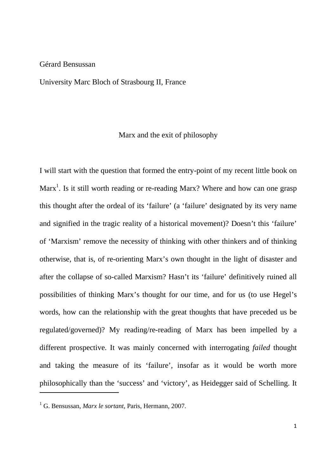## Gérard Bensussan

## University Marc Bloch of Strasbourg II, France

## Marx and the exit of philosophy

I will start with the question that formed the entry-point of my recent little book on Marx<sup>1</sup>. Is it still worth reading or re-reading Marx? Where and how can one grasp this thought after the ordeal of its 'failure' (a 'failure' designated by its very name and signified in the tragic reality of a historical movement)? Doesn't this 'failure' of 'Marxism' remove the necessity of thinking with other thinkers and of thinking otherwise, that is, of re-orienting Marx's own thought in the light of disaster and after the collapse of so-called Marxism? Hasn't its 'failure' definitively ruined all possibilities of thinking Marx's thought for our time, and for us (to use Hegel's words, how can the relationship with the great thoughts that have preceded us be regulated/governed)? My reading/re-reading of Marx has been impelled by a different prospective. It was mainly concerned with interrogating *failed* thought and taking the measure of its 'failure', insofar as it would be worth more philosophically than the 'success' and 'victory', as Heidegger said of Schelling. It

l,

<sup>1</sup> G. Bensussan, *Marx le sortant*, Paris, Hermann, 2007.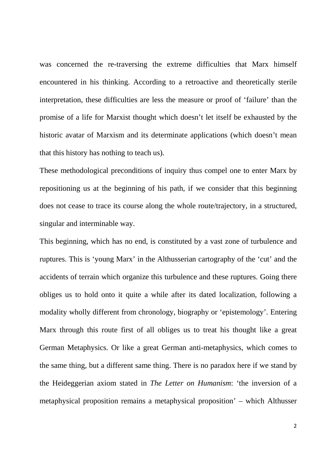was concerned the re-traversing the extreme difficulties that Marx himself encountered in his thinking. According to a retroactive and theoretically sterile interpretation, these difficulties are less the measure or proof of 'failure' than the promise of a life for Marxist thought which doesn't let itself be exhausted by the historic avatar of Marxism and its determinate applications (which doesn't mean that this history has nothing to teach us).

These methodological preconditions of inquiry thus compel one to enter Marx by repositioning us at the beginning of his path, if we consider that this beginning does not cease to trace its course along the whole route/trajectory, in a structured, singular and interminable way.

This beginning, which has no end, is constituted by a vast zone of turbulence and ruptures. This is 'young Marx' in the Althusserian cartography of the 'cut' and the accidents of terrain which organize this turbulence and these ruptures. Going there obliges us to hold onto it quite a while after its dated localization, following a modality wholly different from chronology, biography or 'epistemology'. Entering Marx through this route first of all obliges us to treat his thought like a great German Metaphysics. Or like a great German anti-metaphysics, which comes to the same thing, but a different same thing. There is no paradox here if we stand by the Heideggerian axiom stated in *The Letter on Humanism*: 'the inversion of a metaphysical proposition remains a metaphysical proposition' – which Althusser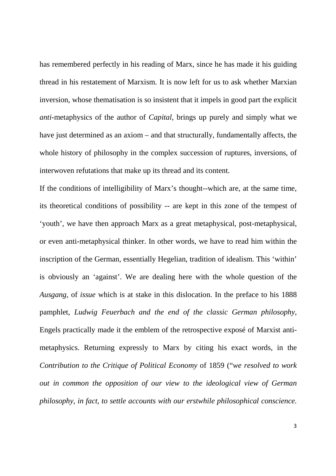has remembered perfectly in his reading of Marx, since he has made it his guiding thread in his restatement of Marxism. It is now left for us to ask whether Marxian inversion, whose thematisation is so insistent that it impels in good part the explicit *anti-*metaphysics of the author of *Capital,* brings up purely and simply what we have just determined as an axiom – and that structurally, fundamentally affects, the whole history of philosophy in the complex succession of ruptures, inversions, of interwoven refutations that make up its thread and its content.

If the conditions of intelligibility of Marx's thought--which are, at the same time, its theoretical conditions of possibility -- are kept in this zone of the tempest of 'youth', we have then approach Marx as a great metaphysical, post-metaphysical, or even anti-metaphysical thinker. In other words, we have to read him within the inscription of the German, essentially Hegelian, tradition of idealism. This 'within' is obviously an 'against'. We are dealing here with the whole question of the *Ausgang,* of *issue* which is at stake in this dislocation. In the preface to his 1888 pamphlet, *Ludwig Feuerbach and the end of the classic German philosophy*, Engels practically made it the emblem of the retrospective exposé of Marxist antimetaphysics. Returning expressly to Marx by citing his exact words, in the *Contribution to the Critique of Political Economy* of 1859 ("*we resolved to work out in common the opposition of our view to the ideological view of German philosophy, in fact, to settle accounts with our erstwhile philosophical conscience.*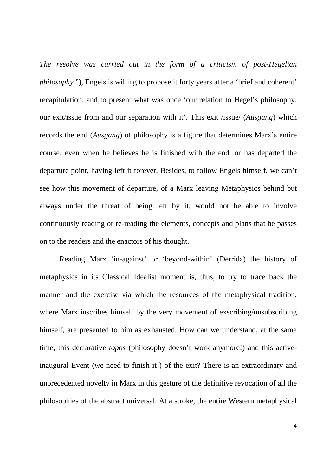*The resolve was carried out in the form of a criticism of post-Hegelian philosophy.*"), Engels is willing to propose it forty years after a 'brief and coherent' recapitulation, and to present what was once 'our relation to Hegel's philosophy, our exit/issue from and our separation with it'. This exit /issue/ (*Ausgang*) which records the end (*Ausgang*) of philosophy is a figure that determines Marx's entire course, even when he believes he is finished with the end, or has departed the departure point, having left it forever. Besides, to follow Engels himself, we can't see how this movement of departure, of a Marx leaving Metaphysics behind but always under the threat of being left by it, would not be able to involve continuously reading or re-reading the elements, concepts and plans that he passes on to the readers and the enactors of his thought.

 Reading Marx 'in-against' or 'beyond-within' (Derrida) the history of metaphysics in its Classical Idealist moment is, thus, to try to trace back the manner and the exercise via which the resources of the metaphysical tradition, where Marx inscribes himself by the very movement of exscribing/unsubscribing himself, are presented to him as exhausted. How can we understand, at the same time, this declarative *topos* (philosophy doesn't work anymore!) and this activeinaugural Event (we need to finish it!) of the exit? There is an extraordinary and unprecedented novelty in Marx in this gesture of the definitive revocation of all the philosophies of the abstract universal. At a stroke, the entire Western metaphysical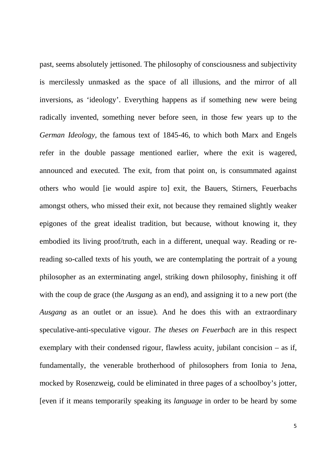past, seems absolutely jettisoned. The philosophy of consciousness and subjectivity is mercilessly unmasked as the space of all illusions, and the mirror of all inversions, as 'ideology'. Everything happens as if something new were being radically invented, something never before seen, in those few years up to the *German Ideology,* the famous text of 1845-46, to which both Marx and Engels refer in the double passage mentioned earlier, where the exit is wagered, announced and executed. The exit, from that point on, is consummated against others who would [ie would aspire to] exit, the Bauers, Stirners, Feuerbachs amongst others, who missed their exit, not because they remained slightly weaker epigones of the great idealist tradition, but because, without knowing it, they embodied its living proof/truth, each in a different, unequal way. Reading or rereading so-called texts of his youth, we are contemplating the portrait of a young philosopher as an exterminating angel, striking down philosophy, finishing it off with the coup de grace (the *Ausgang* as an end), and assigning it to a new port (the *Ausgang* as an outlet or an issue). And he does this with an extraordinary speculative-anti-speculative vigour. *The theses on Feuerbach* are in this respect exemplary with their condensed rigour, flawless acuity, jubilant concision – as if, fundamentally, the venerable brotherhood of philosophers from Ionia to Jena, mocked by Rosenzweig, could be eliminated in three pages of a schoolboy's jotter, [even if it means temporarily speaking its *language* in order to be heard by some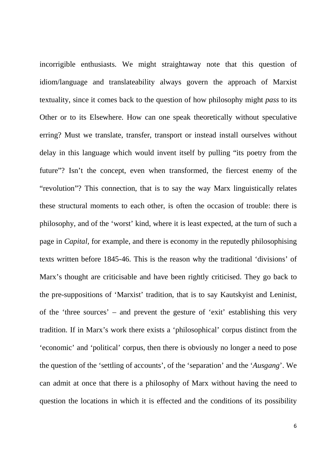incorrigible enthusiasts. We might straightaway note that this question of idiom/language and translateability always govern the approach of Marxist textuality, since it comes back to the question of how philosophy might *pass* to its Other or to its Elsewhere. How can one speak theoretically without speculative erring? Must we translate, transfer, transport or instead install ourselves without delay in this language which would invent itself by pulling "its poetry from the future"? Isn't the concept, even when transformed, the fiercest enemy of the "revolution"? This connection, that is to say the way Marx linguistically relates these structural moments to each other, is often the occasion of trouble: there is philosophy, and of the 'worst' kind, where it is least expected, at the turn of such a page in *Capital,* for example, and there is economy in the reputedly philosophising texts written before 1845-46. This is the reason why the traditional 'divisions' of Marx's thought are criticisable and have been rightly criticised. They go back to the pre-suppositions of 'Marxist' tradition, that is to say Kautskyist and Leninist, of the 'three sources' – and prevent the gesture of 'exit' establishing this very tradition. If in Marx's work there exists a 'philosophical' corpus distinct from the 'economic' and 'political' corpus, then there is obviously no longer a need to pose the question of the 'settling of accounts', of the 'separation' and the '*Ausgang*'. We can admit at once that there is a philosophy of Marx without having the need to question the locations in which it is effected and the conditions of its possibility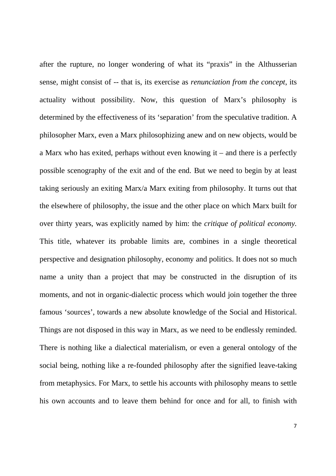after the rupture, no longer wondering of what its "praxis" in the Althusserian sense, might consist of -- that is, its exercise as *renunciation from the concept*, its actuality without possibility. Now, this question of Marx's philosophy is determined by the effectiveness of its 'separation' from the speculative tradition. A philosopher Marx, even a Marx philosophizing anew and on new objects, would be a Marx who has exited, perhaps without even knowing it – and there is a perfectly possible scenography of the exit and of the end. But we need to begin by at least taking seriously an exiting Marx/a Marx exiting from philosophy. It turns out that the elsewhere of philosophy, the issue and the other place on which Marx built for over thirty years, was explicitly named by him: the *critique of political economy.* This title, whatever its probable limits are, combines in a single theoretical perspective and designation philosophy, economy and politics. It does not so much name a unity than a project that may be constructed in the disruption of its moments, and not in organic-dialectic process which would join together the three famous 'sources', towards a new absolute knowledge of the Social and Historical. Things are not disposed in this way in Marx, as we need to be endlessly reminded. There is nothing like a dialectical materialism, or even a general ontology of the social being, nothing like a re-founded philosophy after the signified leave-taking from metaphysics. For Marx, to settle his accounts with philosophy means to settle his own accounts and to leave them behind for once and for all, to finish with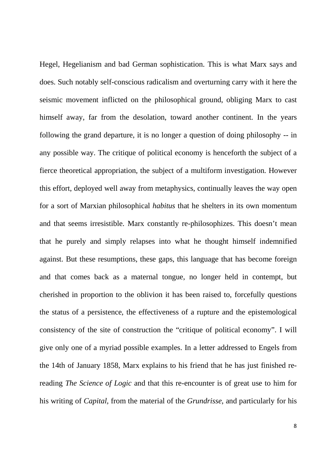Hegel, Hegelianism and bad German sophistication. This is what Marx says and does. Such notably self-conscious radicalism and overturning carry with it here the seismic movement inflicted on the philosophical ground, obliging Marx to cast himself away, far from the desolation, toward another continent. In the years following the grand departure, it is no longer a question of doing philosophy -- in any possible way. The critique of political economy is henceforth the subject of a fierce theoretical appropriation, the subject of a multiform investigation. However this effort, deployed well away from metaphysics, continually leaves the way open for a sort of Marxian philosophical *habitus* that he shelters in its own momentum and that seems irresistible. Marx constantly re-philosophizes. This doesn't mean that he purely and simply relapses into what he thought himself indemnified against. But these resumptions, these gaps, this language that has become foreign and that comes back as a maternal tongue, no longer held in contempt, but cherished in proportion to the oblivion it has been raised to, forcefully questions the status of a persistence, the effectiveness of a rupture and the epistemological consistency of the site of construction the "critique of political economy". I will give only one of a myriad possible examples. In a letter addressed to Engels from the 14th of January 1858, Marx explains to his friend that he has just finished rereading *The Science of Logic* and that this re-encounter is of great use to him for his writing of *Capital,* from the material of the *Grundrisse*, and particularly for his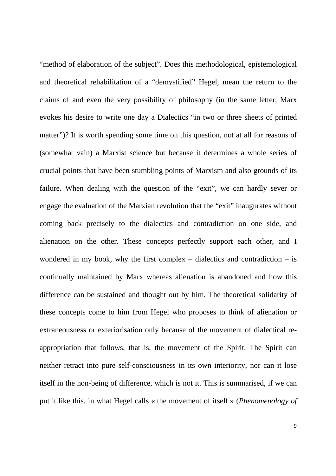"method of elaboration of the subject". Does this methodological, epistemological and theoretical rehabilitation of a "demystified" Hegel, mean the return to the claims of and even the very possibility of philosophy (in the same letter, Marx evokes his desire to write one day a Dialectics "in two or three sheets of printed matter")? It is worth spending some time on this question, not at all for reasons of (somewhat vain) a Marxist science but because it determines a whole series of crucial points that have been stumbling points of Marxism and also grounds of its failure. When dealing with the question of the "exit", we can hardly sever or engage the evaluation of the Marxian revolution that the "exit" inaugurates without coming back precisely to the dialectics and contradiction on one side, and alienation on the other. These concepts perfectly support each other, and I wondered in my book, why the first complex – dialectics and contradiction – is continually maintained by Marx whereas alienation is abandoned and how this difference can be sustained and thought out by him. The theoretical solidarity of these concepts come to him from Hegel who proposes to think of alienation or extraneousness or exteriorisation only because of the movement of dialectical reappropriation that follows, that is, the movement of the Spirit. The Spirit can neither retract into pure self-consciousness in its own interiority, nor can it lose itself in the non-being of difference, which is not it. This is summarised, if we can put it like this, in what Hegel calls « the movement of itself » (*Phenomenology of*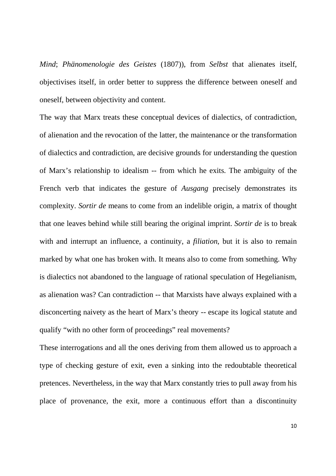*Mind*; *Phänomenologie des Geistes* (1807)), from *Selbst* that alienates itself, objectivises itself, in order better to suppress the difference between oneself and oneself, between objectivity and content.

The way that Marx treats these conceptual devices of dialectics, of contradiction, of alienation and the revocation of the latter, the maintenance or the transformation of dialectics and contradiction, are decisive grounds for understanding the question of Marx's relationship to idealism -- from which he exits. The ambiguity of the French verb that indicates the gesture of *Ausgang* precisely demonstrates its complexity. *Sortir de* means to come from an indelible origin, a matrix of thought that one leaves behind while still bearing the original imprint. *Sortir de* is to break with and interrupt an influence, a continuity, a *filiation*, but it is also to remain marked by what one has broken with. It means also to come from something. Why is dialectics not abandoned to the language of rational speculation of Hegelianism, as alienation was? Can contradiction -- that Marxists have always explained with a disconcerting naivety as the heart of Marx's theory -- escape its logical statute and qualify "with no other form of proceedings" real movements?

These interrogations and all the ones deriving from them allowed us to approach a type of checking gesture of exit, even a sinking into the redoubtable theoretical pretences. Nevertheless, in the way that Marx constantly tries to pull away from his place of provenance, the exit, more a continuous effort than a discontinuity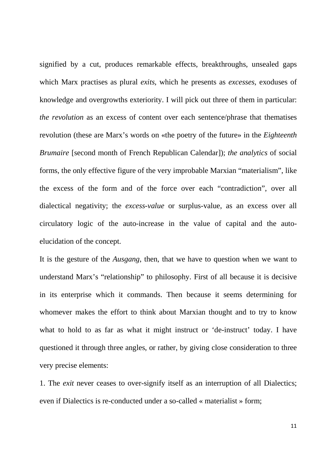signified by a cut, produces remarkable effects, breakthroughs, unsealed gaps which Marx practises as plural *exits*, which he presents as *excesses*, exoduses of knowledge and overgrowths exteriority. I will pick out three of them in particular: *the revolution* as an excess of content over each sentence/phrase that thematises revolution (these are Marx's words on «the poetry of the future» in the *Eighteenth Brumaire* [second month of French Republican Calendar]); *the analytics* of social forms, the only effective figure of the very improbable Marxian "materialism", like the excess of the form and of the force over each "contradiction", over all dialectical negativity; the *excess-value* or surplus-value, as an excess over all circulatory logic of the auto-increase in the value of capital and the autoelucidation of the concept.

It is the gesture of the *Ausgang*, then, that we have to question when we want to understand Marx's "relationship" to philosophy. First of all because it is decisive in its enterprise which it commands. Then because it seems determining for whomever makes the effort to think about Marxian thought and to try to know what to hold to as far as what it might instruct or 'de-instruct' today. I have questioned it through three angles, or rather, by giving close consideration to three very precise elements:

1. The *exit* never ceases to over-signify itself as an interruption of all Dialectics; even if Dialectics is re-conducted under a so-called « materialist » form;

11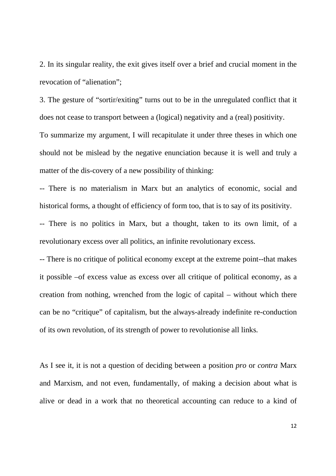2. In its singular reality, the exit gives itself over a brief and crucial moment in the revocation of "alienation";

3. The gesture of "sortir/exiting" turns out to be in the unregulated conflict that it does not cease to transport between a (logical) negativity and a (real) positivity. To summarize my argument, I will recapitulate it under three theses in which one should not be mislead by the negative enunciation because it is well and truly a matter of the dis-covery of a new possibility of thinking:

-- There is no materialism in Marx but an analytics of economic, social and historical forms, a thought of efficiency of form too, that is to say of its positivity.

-- There is no politics in Marx, but a thought, taken to its own limit, of a revolutionary excess over all politics, an infinite revolutionary excess.

-- There is no critique of political economy except at the extreme point--that makes it possible –of excess value as excess over all critique of political economy, as a creation from nothing, wrenched from the logic of capital – without which there can be no "critique" of capitalism, but the always-already indefinite re-conduction of its own revolution, of its strength of power to revolutionise all links.

As I see it, it is not a question of deciding between a position *pro* or *contra* Marx and Marxism, and not even, fundamentally, of making a decision about what is alive or dead in a work that no theoretical accounting can reduce to a kind of